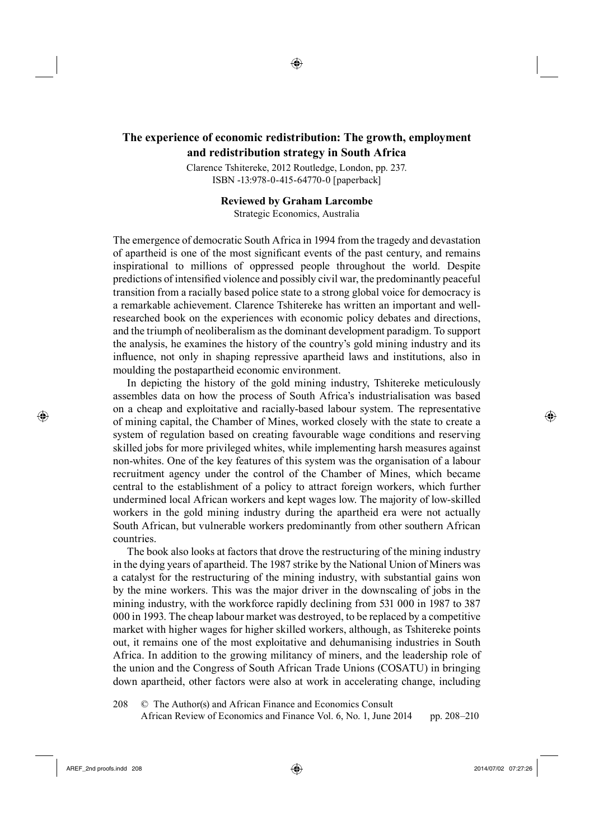## <sup>14</sup>**The experience of economic redistribution: The growth, employment and redistribution strategy in South Africa**

◈

Clarence Tshitereke, 2012 Routledge, London, pp. 237. ISBN -13:978-0-415-64770-0 [paperback]

## **Reviewed by Graham Larcombe** Strategic Economics, Australia

The emergence of democratic South Africa in 1994 from the tragedy and devastation of apartheid is one of the most significant events of the past century, and remains inspirational to millions of oppressed people throughout the world. Despite predictions of intensified violence and possibly civil war, the predominantly peaceful transition from a racially based police state to a strong global voice for democracy is a remarkable achievement. Clarence Tshitereke has written an important and wellresearched book on the experiences with economic policy debates and directions, and the triumph of neoliberalism as the dominant development paradigm. To support the analysis, he examines the history of the country's gold mining industry and its influence, not only in shaping repressive apartheid laws and institutions, also in moulding the postapartheid economic environment.

In depicting the history of the gold mining industry, Tshitereke meticulously assembles data on how the process of South Africa's industrialisation was based on a cheap and exploitative and racially-based labour system. The representative of mining capital, the Chamber of Mines, worked closely with the state to create a system of regulation based on creating favourable wage conditions and reserving skilled jobs for more privileged whites, while implementing harsh measures against non-whites. One of the key features of this system was the organisation of a labour recruitment agency under the control of the Chamber of Mines, which became central to the establishment of a policy to attract foreign workers, which further undermined local African workers and kept wages low. The majority of low-skilled workers in the gold mining industry during the apartheid era were not actually South African, but vulnerable workers predominantly from other southern African countries.

The book also looks at factors that drove the restructuring of the mining industry in the dying years of apartheid. The 1987 strike by the National Union of Miners was a catalyst for the restructuring of the mining industry, with substantial gains won by the mine workers. This was the major driver in the downscaling of jobs in the mining industry, with the workforce rapidly declining from 531 000 in 1987 to 387 000 in 1993. The cheap labour market was destroyed, to be replaced by a competitive market with higher wages for higher skilled workers, although, as Tshitereke points out, it remains one of the most exploitative and dehumanising industries in South Africa. In addition to the growing militancy of miners, and the leadership role of the union and the Congress of South African Trade Unions (COSATU) in bringing down apartheid, other factors were also at work in accelerating change, including

208 © The Author(s) and African Finance and Economics Consult African Review of Economics and Finance Vol. 6, No. 1, June 2014 pp. 208–210

⊕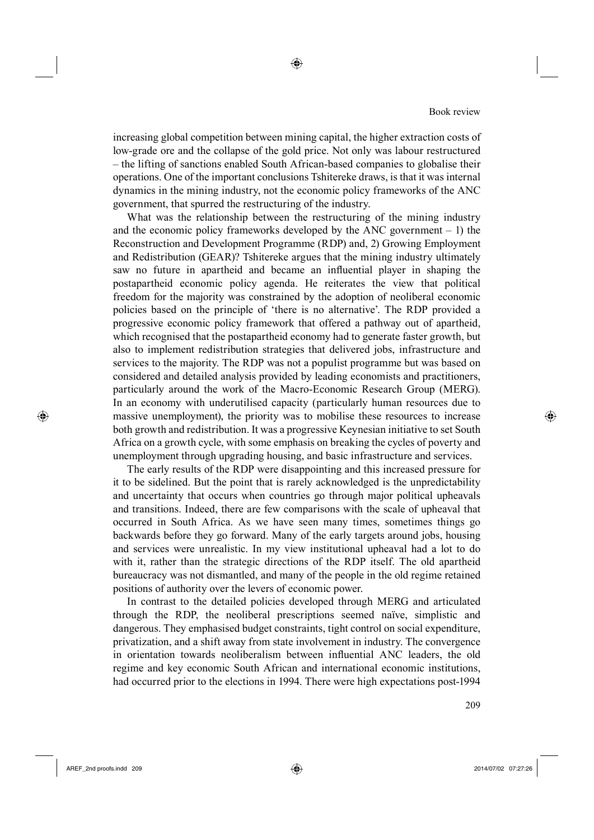increasing global competition between mining capital, the higher extraction costs of low-grade ore and the collapse of the gold price. Not only was labour restructured – the lifting of sanctions enabled South African-based companies to globalise their operations. One of the important conclusions Tshitereke draws, is that it was internal dynamics in the mining industry, not the economic policy frameworks of the ANC government, that spurred the restructuring of the industry.

◈

What was the relationship between the restructuring of the mining industry and the economic policy frameworks developed by the ANC government  $-1$ ) the Reconstruction and Development Programme (RDP) and, 2) Growing Employment and Redistribution (GEAR)? Tshitereke argues that the mining industry ultimately saw no future in apartheid and became an influential player in shaping the postapartheid economic policy agenda. He reiterates the view that political freedom for the majority was constrained by the adoption of neoliberal economic policies based on the principle of 'there is no alternative'. The RDP provided a progressive economic policy framework that offered a pathway out of apartheid, which recognised that the postapartheid economy had to generate faster growth, but also to implement redistribution strategies that delivered jobs, infrastructure and services to the majority. The RDP was not a populist programme but was based on considered and detailed analysis provided by leading economists and practitioners, particularly around the work of the Macro-Economic Research Group (MERG). In an economy with underutilised capacity (particularly human resources due to massive unemployment), the priority was to mobilise these resources to increase both growth and redistribution. It was a progressive Keynesian initiative to set South Africa on a growth cycle, with some emphasis on breaking the cycles of poverty and unemployment through upgrading housing, and basic infrastructure and services.

The early results of the RDP were disappointing and this increased pressure for it to be sidelined. But the point that is rarely acknowledged is the unpredictability and uncertainty that occurs when countries go through major political upheavals and transitions. Indeed, there are few comparisons with the scale of upheaval that occurred in South Africa. As we have seen many times, sometimes things go backwards before they go forward. Many of the early targets around jobs, housing and services were unrealistic. In my view institutional upheaval had a lot to do with it, rather than the strategic directions of the RDP itself. The old apartheid bureaucracy was not dismantled, and many of the people in the old regime retained positions of authority over the levers of economic power.

285In contrast to the detailed policies developed through MERG and articulated through the RDP, the neoliberal prescriptions seemed naïve, simplistic and dangerous. They emphasised budget constraints, tight control on social expenditure, privatization, and a shift away from state involvement in industry. The convergence in orientation towards neoliberalism between influential ANC leaders, the old regime and key economic South African and international economic institutions, had occurred prior to the elections in 1994. There were high expectations post-1994

<sup>6</sup> 209

⊕

◈